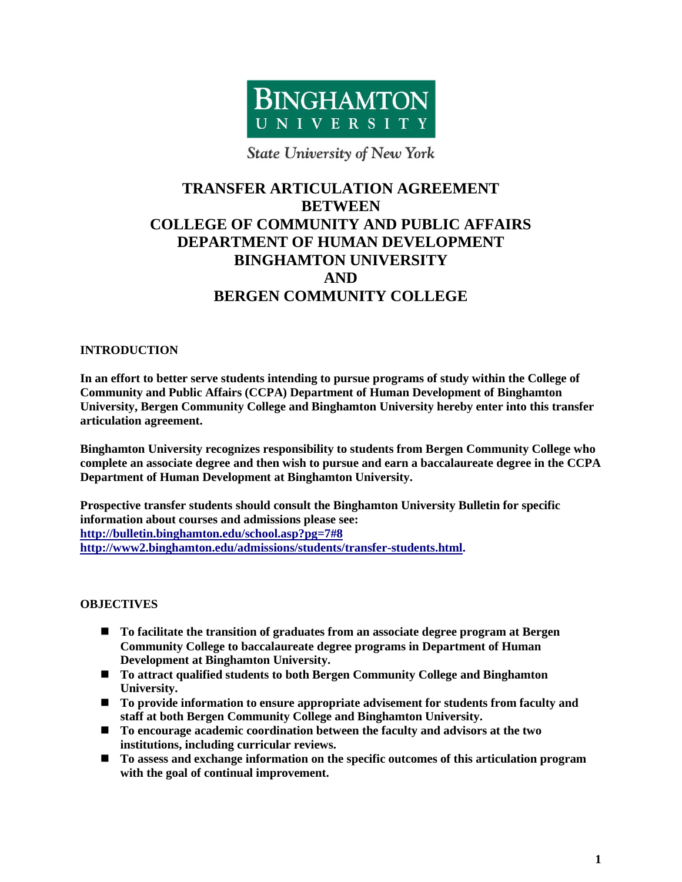

**State University of New York** 

## **TRANSFER ARTICULATION AGREEMENT BETWEEN COLLEGE OF COMMUNITY AND PUBLIC AFFAIRS DEPARTMENT OF HUMAN DEVELOPMENT BINGHAMTON UNIVERSITY AND BERGEN COMMUNITY COLLEGE**

#### **INTRODUCTION**

**In an effort to better serve students intending to pursue programs of study within the College of Community and Public Affairs (CCPA) Department of Human Development of Binghamton University, Bergen Community College and Binghamton University hereby enter into this transfer articulation agreement.**

**Binghamton University recognizes responsibility to students from Bergen Community College who complete an associate degree and then wish to pursue and earn a baccalaureate degree in the CCPA Department of Human Development at Binghamton University.**

**Prospective transfer students should consult the Binghamton University Bulletin for specific information about courses and admissions please see: <http://bulletin.binghamton.edu/school.asp?pg=7#8> [http://www2.binghamton.edu/admissions/students/transfer-students.html.](http://www2.binghamton.edu/admissions/students/transfer-students.html)**

#### **OBJECTIVES**

- **To facilitate the transition of graduates from an associate degree program at Bergen Community College to baccalaureate degree programs in Department of Human Development at Binghamton University.**
- **To attract qualified students to both Bergen Community College and Binghamton University.**
- **To provide information to ensure appropriate advisement for students from faculty and staff at both Bergen Community College and Binghamton University.**
- **To encourage academic coordination between the faculty and advisors at the two institutions, including curricular reviews.**
- **To assess and exchange information on the specific outcomes of this articulation program with the goal of continual improvement.**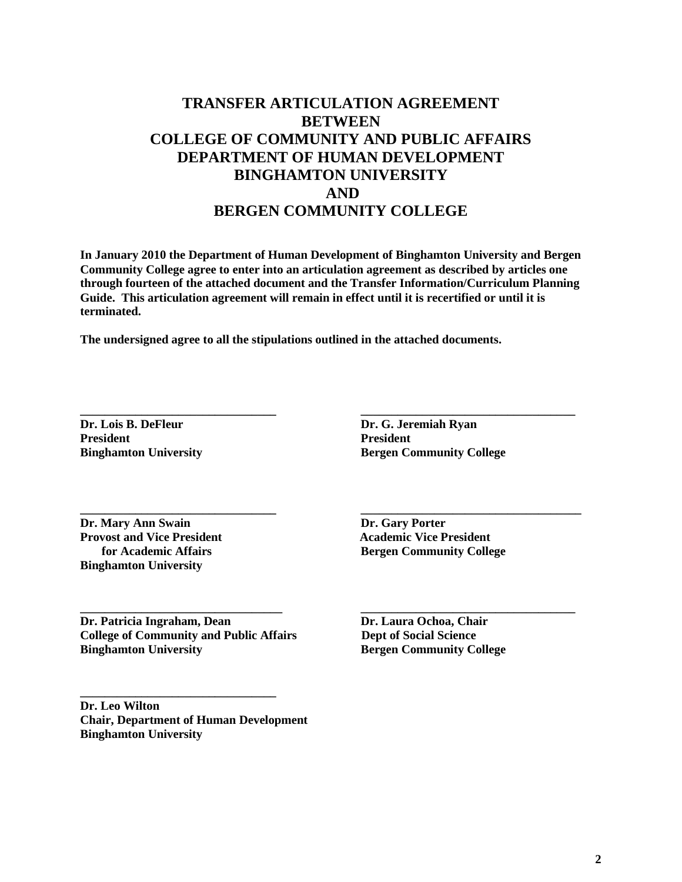### **TRANSFER ARTICULATION AGREEMENT BETWEEN COLLEGE OF COMMUNITY AND PUBLIC AFFAIRS DEPARTMENT OF HUMAN DEVELOPMENT BINGHAMTON UNIVERSITY AND BERGEN COMMUNITY COLLEGE**

**In January 2010 the Department of Human Development of Binghamton University and Bergen Community College agree to enter into an articulation agreement as described by articles one through fourteen of the attached document and the Transfer Information/Curriculum Planning Guide. This articulation agreement will remain in effect until it is recertified or until it is terminated.**

**\_\_\_\_\_\_\_\_\_\_\_\_\_\_\_\_\_\_\_\_\_\_\_\_\_\_\_\_\_\_\_\_ \_\_\_\_\_\_\_\_\_\_\_\_\_\_\_\_\_\_\_\_\_\_\_\_\_\_\_\_\_\_\_\_\_\_\_**

**\_\_\_\_\_\_\_\_\_\_\_\_\_\_\_\_\_\_\_\_\_\_\_\_\_\_\_\_\_\_\_\_ \_\_\_\_\_\_\_\_\_\_\_\_\_\_\_\_\_\_\_\_\_\_\_\_\_\_\_\_\_\_\_\_\_\_\_\_**

**\_\_\_\_\_\_\_\_\_\_\_\_\_\_\_\_\_\_\_\_\_\_\_\_\_\_\_\_\_\_\_\_\_ \_\_\_\_\_\_\_\_\_\_\_\_\_\_\_\_\_\_\_\_\_\_\_\_\_\_\_\_\_\_\_\_\_\_\_**

**The undersigned agree to all the stipulations outlined in the attached documents.**

**Dr. Lois B. DeFleur Dr. G. Jeremiah Ryan President President**

**Binghamton University <b>Bergen Community College** 

**Dr. Mary Ann Swain Dr. Gary Porter Provost and Vice President Academic Vice President Academic Vice President Binghamton University**

 **for Academic Affairs Bergen Community College**

**Dr.** Patricia Ingraham, Dean<br> **Dr.** Laura Ochoa, Chair **College of Community and Public Affairs Dept of Social Science Binghamton University Bergen Community College** 

**\_\_\_\_\_\_\_\_\_\_\_\_\_\_\_\_\_\_\_\_\_\_\_\_\_\_\_\_\_\_\_\_**

**Dr. Leo Wilton Chair, Department of Human Development Binghamton University**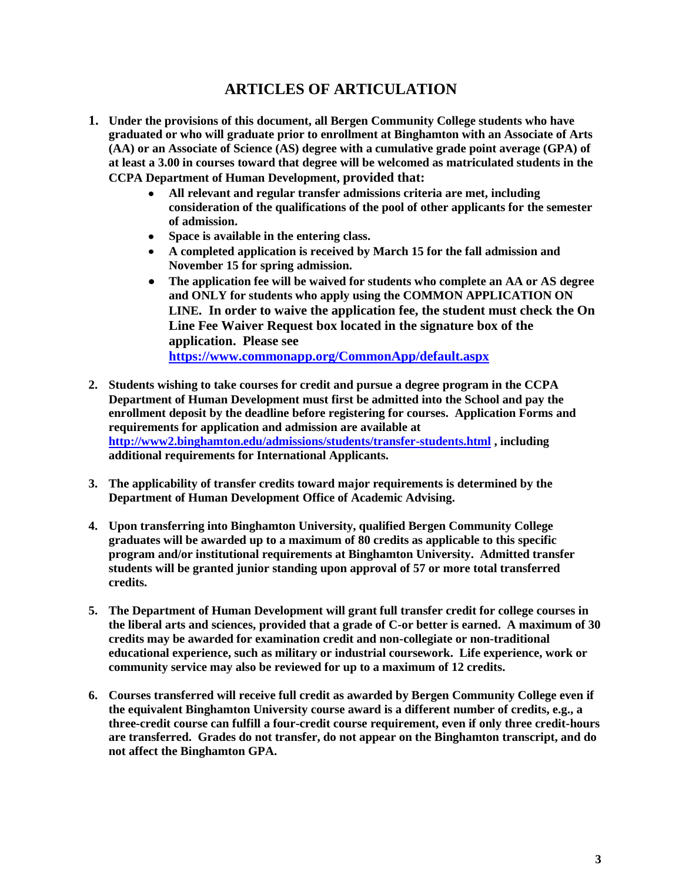### **ARTICLES OF ARTICULATION**

- **1. Under the provisions of this document, all Bergen Community College students who have graduated or who will graduate prior to enrollment at Binghamton with an Associate of Arts (AA) or an Associate of Science (AS) degree with a cumulative grade point average (GPA) of at least a 3.00 in courses toward that degree will be welcomed as matriculated students in the CCPA Department of Human Development, provided that:** 
	- **All relevant and regular transfer admissions criteria are met, including consideration of the qualifications of the pool of other applicants for the semester of admission.**
	- **Space is available in the entering class.**
	- **A completed application is received by March 15 for the fall admission and November 15 for spring admission.**
	- **The application fee will be waived for students who complete an AA or AS degree and ONLY for students who apply using the COMMON APPLICATION ON LINE. In order to waive the application fee, the student must check the On Line Fee Waiver Request box located in the signature box of the application. Please see <https://www.commonapp.org/CommonApp/default.aspx>**
- **2. Students wishing to take courses for credit and pursue a degree program in the CCPA Department of Human Development must first be admitted into the School and pay the enrollment deposit by the deadline before registering for courses. Application Forms and requirements for application and admission are available at <http://www2.binghamton.edu/admissions/students/transfer-students.html> , including additional requirements for International Applicants.**
- **3. The applicability of transfer credits toward major requirements is determined by the Department of Human Development Office of Academic Advising.**
- **4. Upon transferring into Binghamton University, qualified Bergen Community College graduates will be awarded up to a maximum of 80 credits as applicable to this specific program and/or institutional requirements at Binghamton University. Admitted transfer students will be granted junior standing upon approval of 57 or more total transferred credits.**
- **5. The Department of Human Development will grant full transfer credit for college courses in the liberal arts and sciences, provided that a grade of C-or better is earned. A maximum of 30 credits may be awarded for examination credit and non-collegiate or non-traditional educational experience, such as military or industrial coursework. Life experience, work or community service may also be reviewed for up to a maximum of 12 credits.**
- **6. Courses transferred will receive full credit as awarded by Bergen Community College even if the equivalent Binghamton University course award is a different number of credits, e.g., a three-credit course can fulfill a four-credit course requirement, even if only three credit-hours are transferred. Grades do not transfer, do not appear on the Binghamton transcript, and do not affect the Binghamton GPA.**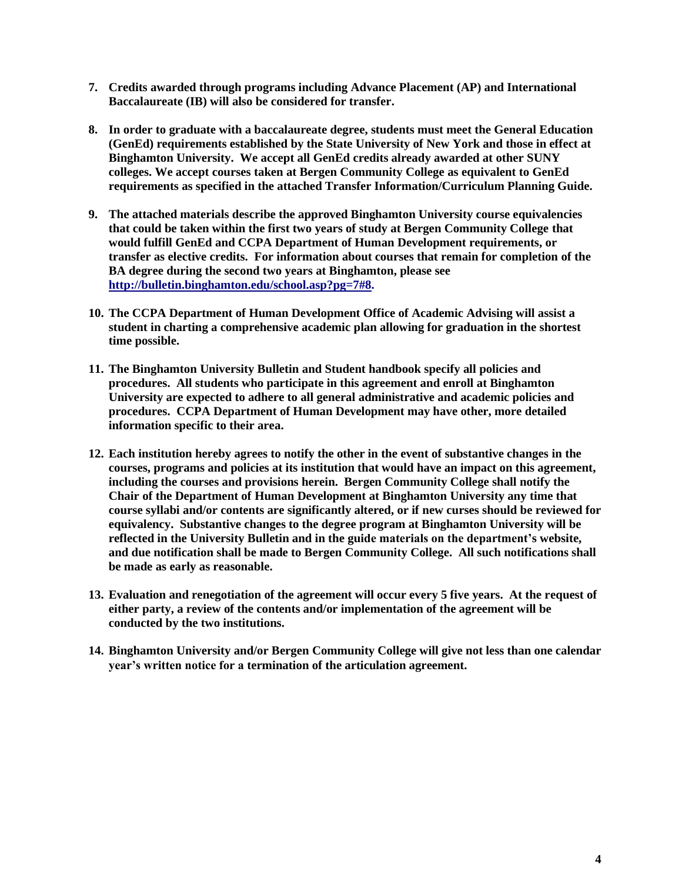- **7. Credits awarded through programs including Advance Placement (AP) and International Baccalaureate (IB) will also be considered for transfer.**
- **8. In order to graduate with a baccalaureate degree, students must meet the General Education (GenEd) requirements established by the State University of New York and those in effect at Binghamton University. We accept all GenEd credits already awarded at other SUNY colleges. We accept courses taken at Bergen Community College as equivalent to GenEd requirements as specified in the attached Transfer Information/Curriculum Planning Guide.**
- **9. The attached materials describe the approved Binghamton University course equivalencies that could be taken within the first two years of study at Bergen Community College that would fulfill GenEd and CCPA Department of Human Development requirements, or transfer as elective credits. For information about courses that remain for completion of the BA degree during the second two years at Binghamton, please see [http://bulletin.binghamton.edu/school.asp?pg=7#8.](http://bulletin.binghamton.edu/school.asp?pg=7#8)**
- **10. The CCPA Department of Human Development Office of Academic Advising will assist a student in charting a comprehensive academic plan allowing for graduation in the shortest time possible.**
- **11. The Binghamton University Bulletin and Student handbook specify all policies and procedures. All students who participate in this agreement and enroll at Binghamton University are expected to adhere to all general administrative and academic policies and procedures. CCPA Department of Human Development may have other, more detailed information specific to their area.**
- **12. Each institution hereby agrees to notify the other in the event of substantive changes in the courses, programs and policies at its institution that would have an impact on this agreement, including the courses and provisions herein. Bergen Community College shall notify the Chair of the Department of Human Development at Binghamton University any time that course syllabi and/or contents are significantly altered, or if new curses should be reviewed for equivalency. Substantive changes to the degree program at Binghamton University will be reflected in the University Bulletin and in the guide materials on the department's website, and due notification shall be made to Bergen Community College. All such notifications shall be made as early as reasonable.**
- **13. Evaluation and renegotiation of the agreement will occur every 5 five years. At the request of either party, a review of the contents and/or implementation of the agreement will be conducted by the two institutions.**
- **14. Binghamton University and/or Bergen Community College will give not less than one calendar year's written notice for a termination of the articulation agreement.**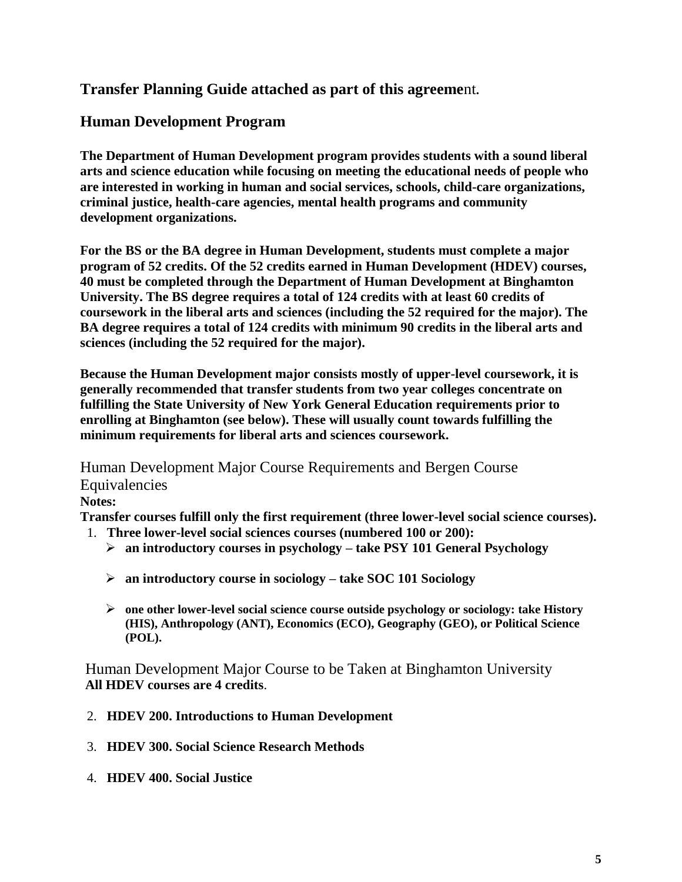### **Transfer Planning Guide attached as part of this agreeme**nt**.**

### **Human Development Program**

**The Department of Human Development program provides students with a sound liberal arts and science education while focusing on meeting the educational needs of people who are interested in working in human and social services, schools, child-care organizations, criminal justice, health-care agencies, mental health programs and community development organizations.**

**For the BS or the BA degree in Human Development, students must complete a major program of 52 credits. Of the 52 credits earned in Human Development (HDEV) courses, 40 must be completed through the Department of Human Development at Binghamton University. The BS degree requires a total of 124 credits with at least 60 credits of coursework in the liberal arts and sciences (including the 52 required for the major). The BA degree requires a total of 124 credits with minimum 90 credits in the liberal arts and sciences (including the 52 required for the major).**

**Because the Human Development major consists mostly of upper-level coursework, it is generally recommended that transfer students from two year colleges concentrate on fulfilling the State University of New York General Education requirements prior to enrolling at Binghamton (see below). These will usually count towards fulfilling the minimum requirements for liberal arts and sciences coursework.** 

Human Development Major Course Requirements and Bergen Course **Equivalencies Notes:** 

**Transfer courses fulfill only the first requirement (three lower-level social science courses).** 

- 1. **Three lower-level social sciences courses (numbered 100 or 200):**
	- **an introductory courses in psychology – take PSY 101 General Psychology**
	- **an introductory course in sociology – take SOC 101 Sociology**
	- **one other lower-level social science course outside psychology or sociology: take History (HIS), Anthropology (ANT), Economics (ECO), Geography (GEO), or Political Science (POL).**

Human Development Major Course to be Taken at Binghamton University **All HDEV courses are 4 credits**.

- 2. **HDEV 200. Introductions to Human Development**
- 3. **HDEV 300. Social Science Research Methods**
- 4. **HDEV 400. Social Justice**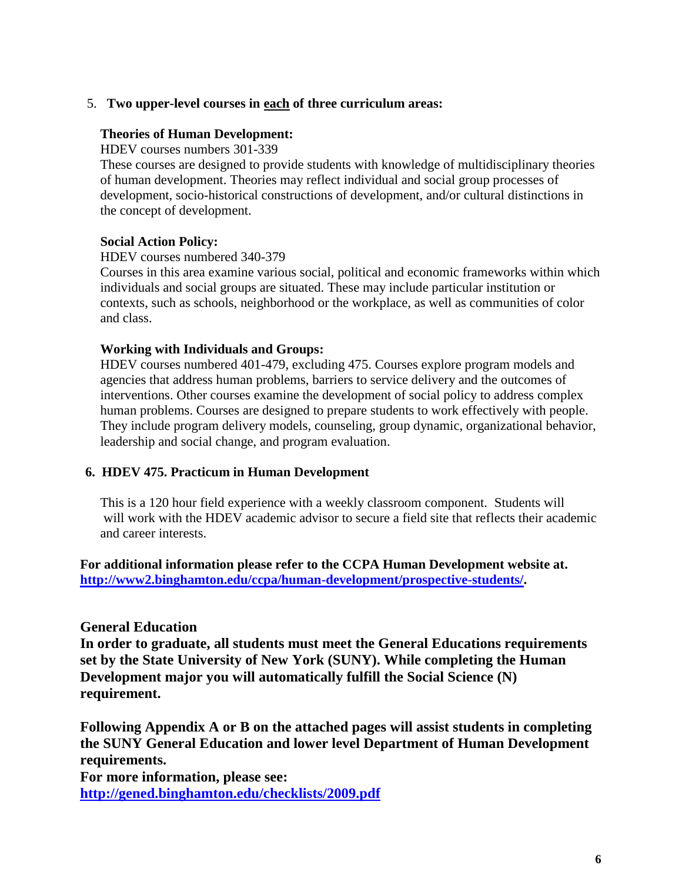#### 5. **Two upper-level courses in each of three curriculum areas:**

#### **Theories of Human Development:**

HDEV courses numbers 301-339

These courses are designed to provide students with knowledge of multidisciplinary theories of human development. Theories may reflect individual and social group processes of development, socio-historical constructions of development, and/or cultural distinctions in the concept of development.

#### **Social Action Policy:**

HDEV courses numbered 340-379

Courses in this area examine various social, political and economic frameworks within which individuals and social groups are situated. These may include particular institution or contexts, such as schools, neighborhood or the workplace, as well as communities of color and class.

#### **Working with Individuals and Groups:**

HDEV courses numbered 401-479, excluding 475. Courses explore program models and agencies that address human problems, barriers to service delivery and the outcomes of interventions. Other courses examine the development of social policy to address complex human problems. Courses are designed to prepare students to work effectively with people. They include program delivery models, counseling, group dynamic, organizational behavior, leadership and social change, and program evaluation.

#### **6. HDEV 475. Practicum in Human Development**

This is a 120 hour field experience with a weekly classroom component. Students will will work with the HDEV academic advisor to secure a field site that reflects their academic and career interests.

**For additional information please refer to the CCPA Human Development website at. [http://www2.binghamton.edu/ccpa/human-development/prospective-students/.](http://www2.binghamton.edu/ccpa/human-development/prospective-students/)**

### **General Education**

**In order to graduate, all students must meet the General Educations requirements set by the State University of New York (SUNY). While completing the Human Development major you will automatically fulfill the Social Science (N) requirement.**

**Following Appendix A or B on the attached pages will assist students in completing the SUNY General Education and lower level Department of Human Development requirements.** 

**For more information, please see: <http://gened.binghamton.edu/checklists/2009.pdf>**